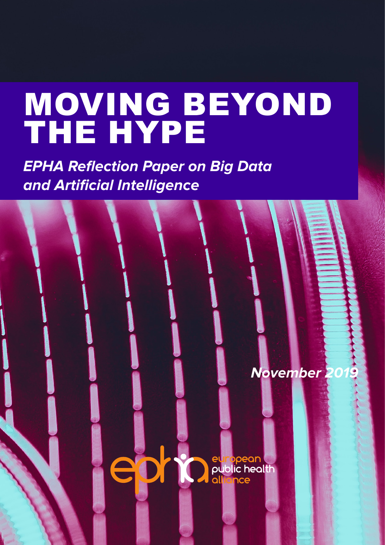# MOVING BEYOND THE HYPE

**EPHA Reflection Paper on Big Data and Artificial Intelligence** 

**November 2019** european<br>Deublic health<br>Dallience epria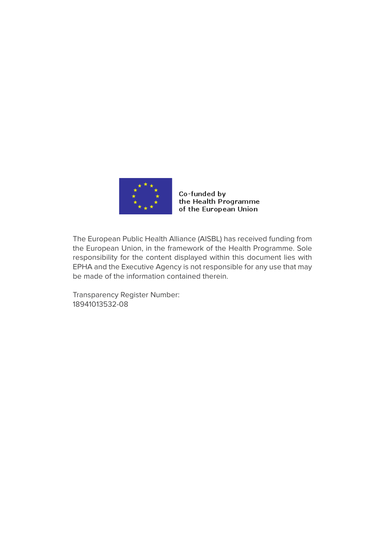

#### Co-funded by the Health Programme of the European Union

The European Public Health Alliance (AISBL) has received funding from the European Union, in the framework of the Health Programme. Sole responsibility for the content displayed within this document lies with EPHA and the Executive Agency is not responsible for any use that may be made of the information contained therein.

Transparency Register Number: 18941013532-08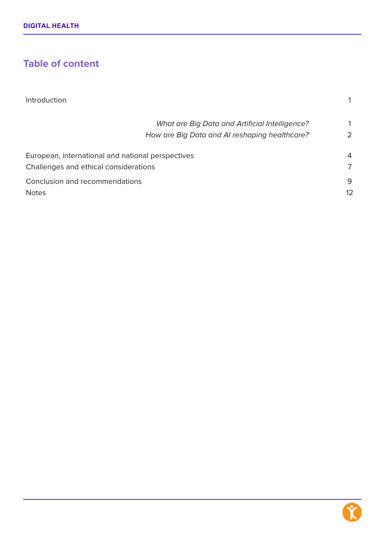# **Table of content**

| Introduction                                          |               |
|-------------------------------------------------------|---------------|
| <b>What are Big Data and Artificial Intelligence?</b> |               |
| How are Big Data and AI reshaping healthcare?         | $\mathcal{L}$ |
| European, international and national perspectives     | 4             |
| Challenges and ethical considerations                 | 7             |
| Conclusion and recommendations                        | 9             |
| <b>Notes</b>                                          | 12            |

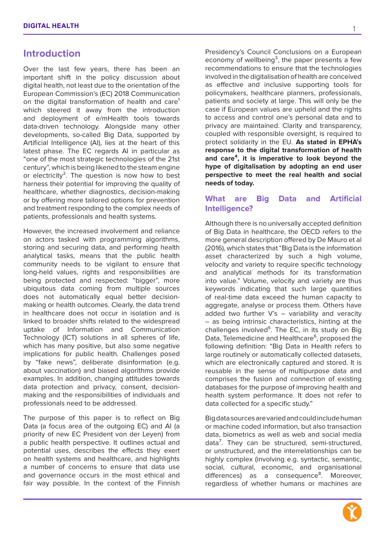#### **Introduction**

Over the last few years, there has been an important shift in the policy discussion about digital health, not least due to the orientation of the European Commission's (EC) 2018 Communication on the digital transformation of health and care<sup>1</sup> which steered it away from the introduction and deployment of e/mHealth tools towards data-driven technology. Alongside many other developments, so-called Big Data, supported by Artificial Intelligence (AI), lies at the heart of this latest phase. The EC regards AI in particular as "one of the most strategic technologies of the 21st century", which is being likened to the steam engine or electricity<sup>2</sup>. The question is now how to best harness their potential for improving the quality of healthcare, whether diagnostics, decision-making or by offering more tailored options for prevention and treatment responding to the complex needs of patients, professionals and health systems.

However, the increased involvement and reliance on actors tasked with programming algorithms, storing and securing data, and performing health analytical tasks, means that the public health community needs to be vigilant to ensure that long-held values, rights and responsibilities are being protected and respected: "bigger", more ubiquitous data coming from multiple sources does not automatically equal better decisionmaking or health outcomes. Clearly, the data trend in healthcare does not occur in isolation and is linked to broader shifts related to the widespread uptake of Information and Communication Technology (ICT) solutions in all spheres of life, which has many positive, but also some negative implications for public health. Challenges posed by "fake news", deliberate disinformation (e.g. about vaccination) and biased algorithms provide examples. In addition, changing attitudes towards data protection and privacy, consent, decisionmaking and the responsibilities of individuals and professionals need to be addressed.

The purpose of this paper is to reflect on Big Data (a focus area of the outgoing EC) and AI (a priority of new EC President von der Leyen) from a public health perspective. It outlines actual and potential uses, describes the effects they exert on health systems and healthcare, and highlights a number of concerns to ensure that data use and governance occurs in the most ethical and fair way possible. In the context of the Finnish Presidency's Council Conclusions on a European economy of wellbeing<sup>3</sup>, the paper presents a few recommendations to ensure that the technologies involved in the digitalisation of health are conceived as effective and inclusive supporting tools for policymakers, healthcare planners, professionals, patients and society at large. This will only be the case if European values are upheld and the rights to access and control one's personal data and to privacy are maintained. Clarity and transparency, coupled with responsible oversight, is required to protect solidarity in the EU. **As stated in EPHA's response to the digital transformation of health and care⁴, it is imperative to look beyond the hype of digitalisation by adopting an end user perspective to meet the real health and social needs of today.**

#### **What are Big Data and Artificial Intelligence?**

Although there is no universally accepted definition of Big Data in healthcare, the OECD refers to the more general description offered by De Mauro et al (2016), which states that "Big Data is the information asset characterized by such a high volume, velocity and variety to require specific technology and analytical methods for its transformation into value." Volume, velocity and variety are thus keywords indicating that such large quantities of real-time data exceed the human capacity to aggregate, analyse or process them. Others have added two further  $V$ 's  $-$  variability and veracity – as being intrinsic characteristics, hinting at the challenges involved<sup>5</sup>. The EC, in its study on Big Data, Telemedicine and Healthcare<sup>6</sup>, proposed the following definition: "Big Data in Health refers to large routinely or automatically collected datasets, which are electronically captured and stored. It is reusable in the sense of multipurpose data and comprises the fusion and connection of existing databases for the purpose of improving health and health system performance. It does not refer to data collected for a specific study."

Big data sources are varied and could include human or machine coded information, but also transaction data, biometrics as well as web and social media data<sup>7</sup>. They can be structured, semi-structured, or unstructured, and the interrelationships can be highly complex (involving e.g. syntactic, semantic, social, cultural, economic, and organisational differences) as a consequence<sup>8</sup>. Moreover, regardless of whether humans or machines are

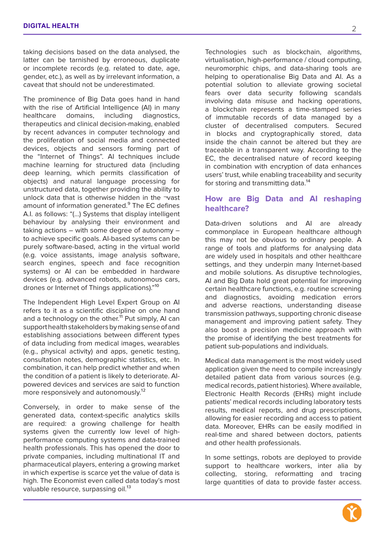taking decisions based on the data analysed, the latter can be tarnished by erroneous, duplicate or incomplete records (e.g. related to date, age, gender, etc.), as well as by irrelevant information, a caveat that should not be underestimated.

The prominence of Big Data goes hand in hand with the rise of Artificial Intelligence (AI) in many healthcare domains, including diagnostics, therapeutics and clinical decision-making, enabled by recent advances in computer technology and the proliferation of social media and connected devices, objects and sensors forming part of the "Internet of Things". AI techniques include machine learning for structured data (including deep learning, which permits classification of objects) and natural language processing for unstructured data, together providing the ability to unlock data that is otherwise hidden in the ¬vast amount of information generated.<sup>9</sup> The EC defines A.I. as follows: "(…) Systems that display intelligent behaviour by analysing their environment and taking actions – with some degree of autonomy – to achieve specific goals. AI-based systems can be purely software-based, acting in the virtual world (e.g. voice assistants, image analysis software, search engines, speech and face recognition systems) or AI can be embedded in hardware devices (e.g. advanced robots, autonomous cars, drones or Internet of Things applications)."<sup>10</sup>

The Independent High Level Expert Group on AI refers to it as a scientific discipline on one hand and a technology on the other.<sup>11</sup> Put simply, AI can support health stakeholders by making sense of and establishing associations between different types of data including from medical images, wearables (e.g., physical activity) and apps, genetic testing, consultation notes, demographic statistics, etc. In combination, it can help predict whether and when the condition of a patient is likely to deteriorate. AIpowered devices and services are said to function more responsively and autonomously.<sup>12</sup>

Conversely, in order to make sense of the generated data, context-specific analytics skills are required: a growing challenge for health systems given the currently low level of highperformance computing systems and data-trained health professionals. This has opened the door to private companies, including multinational IT and pharmaceutical players, entering a growing market in which expertise is scarce yet the value of data is high. The Economist even called data today's most valuable resource, surpassing oil.<sup>13</sup>

Technologies such as blockchain, algorithms, virtualisation, high-performance / cloud computing, neuromorphic chips, and data-sharing tools are helping to operationalise Big Data and AI. As a potential solution to alleviate growing societal fears over data security following scandals involving data misuse and hacking operations, a blockchain represents a time-stamped series of immutable records of data managed by a cluster of decentralised computers. Secured in blocks and cryptographically stored, data inside the chain cannot be altered but they are traceable in a transparent way. According to the EC, the decentralised nature of record keeping in combination with encryption of data enhances users' trust, while enabling traceability and security for storing and transmitting data.<sup>14</sup>

#### **How are Big Data and AI reshaping healthcare?**

Data-driven solutions and AI are already commonplace in European healthcare although this may not be obvious to ordinary people. A range of tools and platforms for analysing data are widely used in hospitals and other healthcare settings, and they underpin many Internet-based and mobile solutions. As disruptive technologies, AI and Big Data hold great potential for improving certain healthcare functions, e.g. routine screening and diagnostics, avoiding medication errors and adverse reactions, understanding disease transmission pathways, supporting chronic disease management and improving patient safety. They also boost a precision medicine approach with the promise of identifying the best treatments for patient sub-populations and individuals.

Medical data management is the most widely used application given the need to compile increasingly detailed patient data from various sources (e.g. medical records, patient histories). Where available, Electronic Health Records (EHRs) might include patients' medical records including laboratory tests results, medical reports, and drug prescriptions, allowing for easier recording and access to patient data. Moreover, EHRs can be easily modified in real-time and shared between doctors, patients and other health professionals.

In some settings, robots are deployed to provide support to healthcare workers, inter alia by collecting, storing, reformatting and tracing large quantities of data to provide faster access.

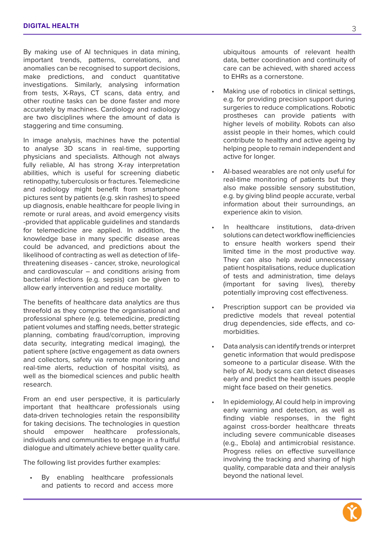By making use of AI techniques in data mining, important trends, patterns, correlations, and anomalies can be recognised to support decisions, make predictions, and conduct quantitative investigations. Similarly, analysing information from tests, X-Rays, CT scans, data entry, and other routine tasks can be done faster and more accurately by machines. Cardiology and radiology are two disciplines where the amount of data is staggering and time consuming.

In image analysis, machines have the potential to analyse 3D scans in real-time, supporting physicians and specialists. Although not always fully reliable, AI has strong X-ray interpretation abilities, which is useful for screening diabetic retinopathy, tuberculosis or fractures. Telemedicine and radiology might benefit from smartphone pictures sent by patients (e.g. skin rashes) to speed up diagnosis, enable healthcare for people living in remote or rural areas, and avoid emergency visits -provided that applicable guidelines and standards for telemedicine are applied. In addition, the knowledge base in many specific disease areas could be advanced, and predictions about the likelihood of contracting as well as detection of lifethreatening diseases - cancer, stroke, neurological and cardiovascular – and conditions arising from bacterial infections (e.g. sepsis) can be given to allow early intervention and reduce mortality.

The benefits of healthcare data analytics are thus threefold as they comprise the organisational and professional sphere (e.g. telemedicine, predicting patient volumes and staffing needs, better strategic planning, combating fraud/corruption, improving data security, integrating medical imaging), the patient sphere (active engagement as data owners and collectors, safety via remote monitoring and real-time alerts, reduction of hospital visits), as well as the biomedical sciences and public health research.

From an end user perspective, it is particularly important that healthcare professionals using data-driven technologies retain the responsibility for taking decisions. The technologies in question should empower healthcare professionals, individuals and communities to engage in a fruitful dialogue and ultimately achieve better quality care.

The following list provides further examples:

By enabling healthcare professionals and patients to record and access more

ubiquitous amounts of relevant health data, better coordination and continuity of care can be achieved, with shared access to EHRs as a cornerstone.

- Making use of robotics in clinical settings, e.g. for providing precision support during surgeries to reduce complications. Robotic prostheses can provide patients with higher levels of mobility. Robots can also assist people in their homes, which could contribute to healthy and active ageing by helping people to remain independent and active for longer.
- AI-based wearables are not only useful for real-time monitoring of patients but they also make possible sensory substitution, e.g. by giving blind people accurate, verbal information about their surroundings, an experience akin to vision.
- In healthcare institutions, data-driven solutions can detect workflow inefficiencies to ensure health workers spend their limited time in the most productive way. They can also help avoid unnecessary patient hospitalisations, reduce duplication of tests and administration, time delays (important for saving lives), thereby potentially improving cost effectiveness.
- Prescription support can be provided via predictive models that reveal potential drug dependencies, side effects, and comorbidities.
- Data analysis can identify trends or interpret genetic information that would predispose someone to a particular disease. With the help of AI, body scans can detect diseases early and predict the health issues people might face based on their genetics.
- In epidemiology, AI could help in improving early warning and detection, as well as finding viable responses, in the fight against cross-border healthcare threats including severe communicable diseases (e.g., Ebola) and antimicrobial resistance. Progress relies on effective surveillance involving the tracking and sharing of high quality, comparable data and their analysis beyond the national level.

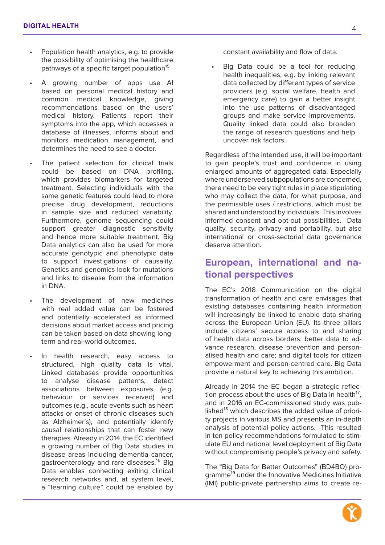- Population health analytics, e.g. to provide the possibility of optimising the healthcare pathways of a specific target population<sup>15</sup>
- A growing number of apps use AI based on personal medical history and common medical knowledge, giving recommendations based on the users' medical history. Patients report their symptoms into the app, which accesses a database of illnesses, informs about and monitors medication management, and determines the need to see a doctor.
- The patient selection for clinical trials could be based on DNA profiling, which provides biomarkers for targeted treatment. Selecting individuals with the same genetic features could lead to more precise drug development, reductions in sample size and reduced variability. Furthermore, genome sequencing could support greater diagnostic sensitivity and hence more suitable treatment. Big Data analytics can also be used for more accurate genotypic and phenotypic data to support investigations of causality. Genetics and genomics look for mutations and links to disease from the information in DNA.
- The development of new medicines with real added value can be fostered and potentially accelerated as informed decisions about market access and pricing can be taken based on data showing longterm and real-world outcomes.
- In health research, easy access to structured, high quality data is vital. Linked databases provide opportunities to analyse disease patterns, detect associations between exposures (e.g. behaviour or services received) and outcomes (e.g., acute events such as heart attacks or onset of chronic diseases such as Alzheimer's), and potentially identify causal relationships that can foster new therapies. Already in 2014, the EC identified a growing number of Big Data studies in disease areas including dementia cancer, gastroenterology and rare diseases.<sup>16</sup> Big Data enables connecting exiting clinical research networks and, at system level, a "learning culture" could be enabled by

constant availability and flow of data.

Big Data could be a tool for reducing health inequalities, e.g. by linking relevant data collected by different types of service providers (e.g. social welfare, health and emergency care) to gain a better insight into the use patterns of disadvantaged groups and make service improvements. Quality linked data could also broaden the range of research questions and help uncover risk factors.

Regardless of the intended use, it will be important to gain people's trust and confidence in using enlarged amounts of aggregated data. Especially where underserved subpopulations are concerned, there need to be very tight rules in place stipulating who may collect the data, for what purpose, and the permissible uses / restrictions, which must be shared and understood by individuals. This involves informed consent and opt-out possibilities. Data quality, security, privacy and portability, but also international or cross-sectorial data governance deserve attention.

## **European, international and national perspectives**

The EC's 2018 Communication on the digital transformation of health and care envisages that existing databases containing health information will increasingly be linked to enable data sharing across the European Union (EU). Its three pillars include citizens' secure access to and sharing of health data across borders; better data to advance research, disease prevention and personalised health and care; and digital tools for citizen empowerment and person-centred care. Big Data provide a natural key to achieving this ambition.

Already in 2014 the EC began a strategic reflection process about the uses of Big Data in health<sup>17</sup>, and in 2016 an EC-commissioned study was published<sup>18</sup> which describes the added value of priority projects in various MS and presents an in-depth analysis of potential policy actions. This resulted in ten policy recommendations formulated to stimulate EU and national level deployment of Big Data without compromising people's privacy and safety.

The "Big Data for Better Outcomes" (BD4BO) programme<sup>19</sup> under the Innovative Medicines Initiative (IMI) public-private partnership aims to create re-

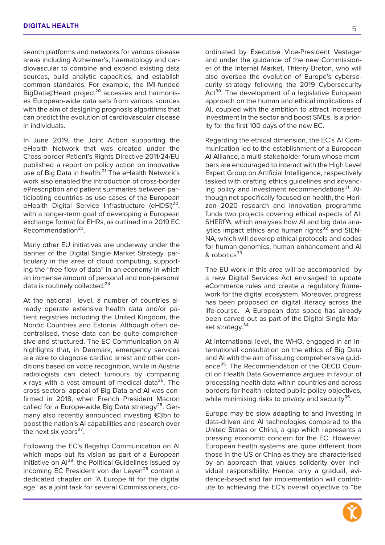search platforms and networks for various disease areas including Alzheimer's, haematology and cardiovascular to combine and expand existing data sources, build analytic capacities, and establish common standards. For example, the IMI-funded BigData@Heart project<sup>20</sup> accesses and harmonises European-wide data sets from various sources with the aim of designing prognosis algorithms that can predict the evolution of cardiovascular disease in individuals.

In June 2019, the Joint Action supporting the eHealth Network that was created under the Cross-border Patient's Rights Directive 2011/24/EU published a report on policy action on innovative use of Big Data in health.<sup>21</sup> The eHealth Network's work also enabled the introduction of cross-border ePrescription and patient summaries between participating countries as use cases of the European eHealth Digital Service Infrastructure (eHDSI)<sup>22</sup>, with a longer-term goal of developing a European exchange format for EHRs, as outlined in a 2019 EC Recommendation²³.

Many other EU initiatives are underway under the banner of the Digital Single Market Strategy, particularly in the area of cloud computing, supporting the "free flow of data" in an economy in which an immense amount of personal and non-personal data is routinely collected.<sup>24</sup>

At the national level, a number of countries already operate extensive health data and/or patient registries including the United Kingdom, the Nordic Countries and Estonia. Although often decentralised, these data can be quite comprehensive and structured. The EC Communication on AI highlights that, in Denmark, emergency services are able to diagnose cardiac arrest and other conditions based on voice recognition, while in Austria radiologists can detect tumours by comparing x-rays with a vast amount of medical data<sup>25</sup>. The cross-sectoral appeal of Big Data and AI was confirmed in 2018, when French President Macron called for a Europe-wide Big Data strategy<sup>26</sup>. Germany also recently announced investing €3bn to boost the nation's AI capabilities and research over the next six years<sup>27</sup>.

Following the EC's flagship Communication on AI which maps out its vision as part of a European Initiative on Al<sup>28</sup>, the Political Guidelines issued by incoming EC President von der Leyen<sup>29</sup> contain a dedicated chapter on "A Europe fit for the digital age" as a joint task for several Commissioners, coordinated by Executive Vice-President Vestager and under the guidance of the new Commissioner of the Internal Market, Thierry Breton, who will also oversee the evolution of Europe's cybersecurity strategy following the 2019 Cybersecurity Act<sup>30</sup>. The development of a legislative European approach on the human and ethical implications of AI, coupled with the ambition to attract increased investment in the sector and boost SMEs, is a priority for the first 100 days of the new EC.

Regarding the ethical dimension, the EC's AI Communication led to the establishment of a European AI Alliance, a multi-stakeholder forum whose members are encouraged to interact with the High Level Expert Group on Artificial Intelligence, respectively tasked with drafting ethics guidelines and advancing policy and investment recommendations $31$ . Although not specifically focused on health, the Horizon 2020 research and innovation programme funds two projects covering ethical aspects of AI: SHERPA, which analyses how AI and big data analytics impact ethics and human rights $32$  and SIEN-NA, which will develop ethical protocols and codes for human genomics, human enhancement and AI & robotics<sup>33</sup>.

The EU work in this area will be accompanied by a new Digital Services Act envisaged to update eCommerce rules and create a regulatory framework for the digital ecosystem. Moreover, progress has been proposed on digital literacy across the life-course. A European data space has already been carved out as part of the Digital Single Market strategy.<sup>34</sup>

At international level, the WHO, engaged in an international consultation on the ethics of Big Data and AI with the aim of issuing comprehensive guidance<sup>35</sup>. The Recommendation of the OECD Council on Health Data Governance argues in favour of processing health data within countries and across borders for health-related public policy objectives, while minimising risks to privacy and security<sup>36</sup>.

Europe may be slow adapting to and investing in data-driven and AI technologies compared to the United States or China, a gap which represents a pressing economic concern for the EC. However, European health systems are quite different from those in the US or China as they are characterised by an approach that values solidarity over individual responsibility. Hence, only a gradual, evidence-based and fair implementation will contribute to achieving the EC's overall objective to "be



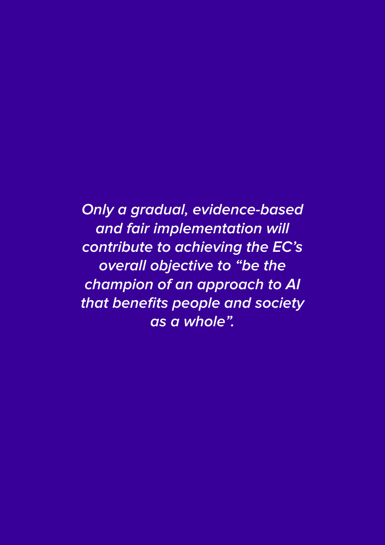**Only a gradual, evidence-based and fair implementation will contribute to achieving the EC's overall objective to "be the champion of an approach to AI that benefits people and society as a whole".**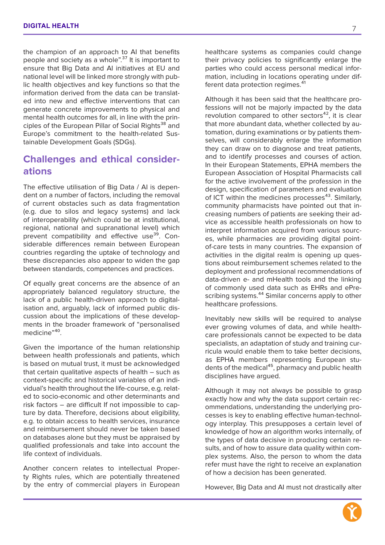the champion of an approach to AI that benefits people and society as a whole".<sup>37</sup> It is important to ensure that Big Data and AI initiatives at EU and national level will be linked more strongly with public health objectives and key functions so that the information derived from the data can be translated into new and effective interventions that can generate concrete improvements to physical and mental health outcomes for all, in line with the principles of the European Pillar of Social Rights<sup>38</sup> and Europe's commitment to the health-related Sustainable Development Goals (SDGs).

# **Challenges and ethical considerations**

The effective utilisation of Big Data / AI is dependent on a number of factors, including the removal of current obstacles such as data fragmentation (e.g. due to silos and legacy systems) and lack of interoperability (which could be at institutional, regional, national and supranational level) which prevent compatibility and effective use<sup>39</sup>. Considerable differences remain between European countries regarding the uptake of technology and these discrepancies also appear to widen the gap between standards, competences and practices.

Of equally great concerns are the absence of an appropriately balanced regulatory structure, the lack of a public health-driven approach to digitalisation and, arguably, lack of informed public discussion about the implications of these developments in the broader framework of "personalised medicine"<sup>40</sup>

Given the importance of the human relationship between health professionals and patients, which is based on mutual trust, it must be acknowledged that certain qualitative aspects of health – such as context-specific and historical variables of an individual's health throughout the life-course, e.g. related to socio-economic and other determinants and risk factors – are difficult If not impossible to capture by data. Therefore, decisions about eligibility, e.g. to obtain access to health services, insurance and reimbursement should never be taken based on databases alone but they must be appraised by qualified professionals and take into account the life context of individuals.

Another concern relates to intellectual Property Rights rules, which are potentially threatened by the entry of commercial players in European healthcare systems as companies could change their privacy policies to significantly enlarge the parties who could access personal medical information, including in locations operating under different data protection regimes.<sup>41</sup>

Although it has been said that the healthcare professions will not be majorly impacted by the data revolution compared to other sectors $42$ , it is clear that more abundant data, whether collected by automation, during examinations or by patients themselves, will considerably enlarge the information they can draw on to diagnose and treat patients, and to identify processes and courses of action. In their European Statements, EPHA members the European Association of Hospital Pharmacists call for the active involvement of the profession in the design, specification of parameters and evaluation of ICT within the medicines processes $43$ . Similarly, community pharmacists have pointed out that increasing numbers of patients are seeking their advice as accessible health professionals on how to interpret information acquired from various sources, while pharmacies are providing digital pointof-care tests in many countries. The expansion of activities in the digital realm is opening up questions about reimbursement schemes related to the deployment and professional recommendations of data-driven e- and mHealth tools and the linking of commonly used data such as EHRs and ePrescribing systems.<sup>44</sup> Similar concerns apply to other healthcare professions.

Inevitably new skills will be required to analyse ever growing volumes of data, and while healthcare professionals cannot be expected to be data specialists, an adaptation of study and training curricula would enable them to take better decisions, as EPHA members representing European students of the medical<sup>45</sup>, pharmacy and public health disciplines have argued.

Although it may not always be possible to grasp exactly how and why the data support certain recommendations, understanding the underlying processes is key to enabling effective human-technology interplay. This presupposes a certain level of knowledge of how an algorithm works internally, of the types of data decisive in producing certain results, and of how to assure data quality within complex systems. Also, the person to whom the data refer must have the right to receive an explanation of how a decision has been generated.

However, Big Data and AI must not drastically alter

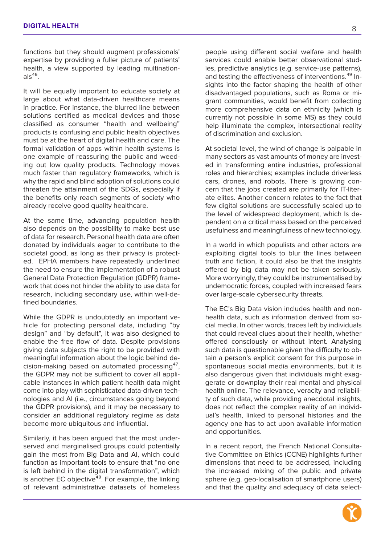functions but they should augment professionals' expertise by providing a fuller picture of patients' health, a view supported by leading multination $als<sup>46</sup>$ 

It will be equally important to educate society at large about what data-driven healthcare means in practice. For instance, the blurred line between solutions certified as medical devices and those classified as consumer "health and wellbeing" products is confusing and public health objectives must be at the heart of digital health and care. The formal validation of apps within health systems is one example of reassuring the public and weeding out low quality products. Technology moves much faster than regulatory frameworks, which is why the rapid and blind adoption of solutions could threaten the attainment of the SDGs, especially if the benefits only reach segments of society who already receive good quality healthcare.

At the same time, advancing population health also depends on the possibility to make best use of data for research. Personal health data are often donated by individuals eager to contribute to the societal good, as long as their privacy is protected. EPHA members have repeatedly underlined the need to ensure the implementation of a robust General Data Protection Regulation (GDPR) framework that does not hinder the ability to use data for research, including secondary use, within well-defined boundaries.

While the GDPR is undoubtedly an important vehicle for protecting personal data, including "by design" and "by default", it was also designed to enable the free flow of data. Despite provisions giving data subjects the right to be provided with meaningful information about the logic behind decision-making based on automated processing<sup>47</sup>, the GDPR may not be sufficient to cover all applicable instances in which patient health data might come into play with sophisticated data-driven technologies and AI (i.e., circumstances going beyond the GDPR provisions), and it may be necessary to consider an additional regulatory regime as data become more ubiquitous and influential.

Similarly, it has been argued that the most underserved and marginalised groups could potentially gain the most from Big Data and AI, which could function as important tools to ensure that "no one is left behind in the digital transformation", which is another EC objective $48$ . For example, the linking of relevant administrative datasets of homeless people using different social welfare and health services could enable better observational studies, predictive analytics (e.g. service-use patterns), and testing the effectiveness of interventions.<sup>49</sup> Insights into the factor shaping the health of other disadvantaged populations, such as Roma or migrant communities, would benefit from collecting more comprehensive data on ethnicity (which is currently not possible in some MS) as they could help illuminate the complex, intersectional reality of discrimination and exclusion.

At societal level, the wind of change is palpable in many sectors as vast amounts of money are invested in transforming entire industries, professional roles and hierarchies; examples include driverless cars, drones, and robots. There is growing concern that the jobs created are primarily for IT-literate elites. Another concern relates to the fact that few digital solutions are successfully scaled up to the level of widespread deployment, which Is dependent on a critical mass based on the perceived usefulness and meaningfulness of new technology.

In a world in which populists and other actors are exploiting digital tools to blur the lines between truth and fiction, it could also be that the insights offered by big data may not be taken seriously. More worryingly, they could be instrumentalised by undemocratic forces, coupled with increased fears over large-scale cybersecurity threats.

The EC's Big Data vision includes health and nonhealth data, such as information derived from social media. In other words, traces left by individuals that could reveal clues about their health, whether offered consciously or without intent. Analysing such data is questionable given the difficulty to obtain a person's explicit consent for this purpose in spontaneous social media environments, but it is also dangerous given that individuals might exaggerate or downplay their real mental and physical health online. The relevance, veracity and reliability of such data, while providing anecdotal insights, does not reflect the complex reality of an individual's health, linked to personal histories and the agency one has to act upon available information and opportunities.

In a recent report, the French National Consultative Committee on Ethics (CCNE) highlights further dimensions that need to be addressed, including the increased mixing of the public and private sphere (e.g. geo-localisation of smartphone users) and that the quality and adequacy of data select-

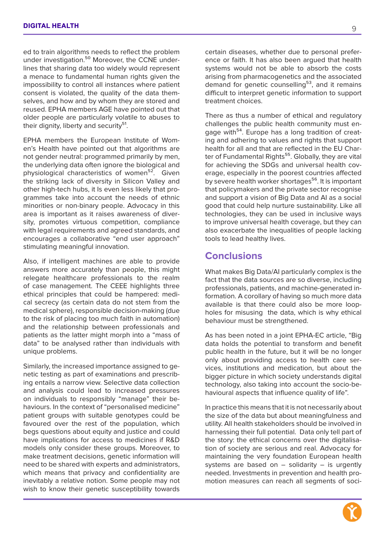ed to train algorithms needs to reflect the problem under investigation.<sup>50</sup> Moreover, the CCNE underlines that sharing data too widely would represent a menace to fundamental human rights given the impossibility to control all instances where patient consent is violated, the quality of the data themselves, and how and by whom they are stored and reused. EPHA members AGE have pointed out that older people are particularly volatile to abuses to their dignity, liberty and security<sup>51</sup>.

EPHA members the European Institute of Women's Health have pointed out that algorithms are not gender neutral: programmed primarily by men, the underlying data often ignore the biological and physiological characteristics of women<sup>52</sup>. Given the striking lack of diversity in Silicon Valley and other high-tech hubs, it Is even less likely that programmes take into account the needs of ethnic minorities or non-binary people. Advocacy in this area is important as it raises awareness of diversity, promotes virtuous competition, compliance with legal requirements and agreed standards, and encourages a collaborative "end user approach" stimulating meaningful innovation.

Also, if intelligent machines are able to provide answers more accurately than people, this might relegate healthcare professionals to the realm of case management. The CEEE highlights three ethical principles that could be hampered: medical secrecy (as certain data do not stem from the medical sphere), responsible decision-making (due to the risk of placing too much faith in automation) and the relationship between professionals and patients as the latter might morph into a "mass of data" to be analysed rather than individuals with unique problems.

Similarly, the increased importance assigned to genetic testing as part of examinations and prescribing entails a narrow view. Selective data collection and analysis could lead to increased pressures on individuals to responsibly "manage" their behaviours. In the context of "personalised medicine" patient groups with suitable genotypes could be favoured over the rest of the population, which begs questions about equity and justice and could have implications for access to medicines if R&D models only consider these groups. Moreover, to make treatment decisions, genetic information will need to be shared with experts and administrators, which means that privacy and confidentiality are inevitably a relative notion. Some people may not wish to know their genetic susceptibility towards

certain diseases, whether due to personal preference or faith. It has also been argued that health systems would not be able to absorb the costs arising from pharmacogenetics and the associated demand for genetic counselling<sup>53</sup>, and it remains difficult to interpret genetic information to support treatment choices.

There as thus a number of ethical and regulatory challenges the public health community must engage with<sup>54</sup>. Europe has a long tradition of creating and adhering to values and rights that support health for all and that are reflected in the EU Charter of Fundamental Rights<sup>55</sup>. Globally, they are vital for achieving the SDGs and universal health coverage, especially in the poorest countries affected by severe health worker shortages<sup>56</sup>. It is important that policymakers and the private sector recognise and support a vision of Big Data and AI as a social good that could help nurture sustainability. Like all technologies, they can be used in inclusive ways to improve universal health coverage, but they can also exacerbate the inequalities of people lacking tools to lead healthy lives.

### **Conclusions**

What makes Big Data/AI particularly complex is the fact that the data sources are so diverse, including professionals, patients, and machine-generated information. A corollary of having so much more data available is that there could also be more loopholes for misusing the data, which is why ethical behaviour must be strengthened.

As has been noted in a joint EPHA-EC article, "Big data holds the potential to transform and benefit public health in the future, but it will be no longer only about providing access to health care services, institutions and medication, but about the bigger picture in which society understands digital technology, also taking into account the socio-behavioural aspects that influence quality of life".

In practice this means that it is not necessarily about the size of the data but about meaningfulness and utility. All health stakeholders should be involved in harnessing their full potential. Data only tell part of the story: the ethical concerns over the digitalisation of society are serious and real. Advocacy for maintaining the very foundation European health systems are based on  $-$  solidarity  $-$  is urgently needed. Investments in prevention and health promotion measures can reach all segments of soci-

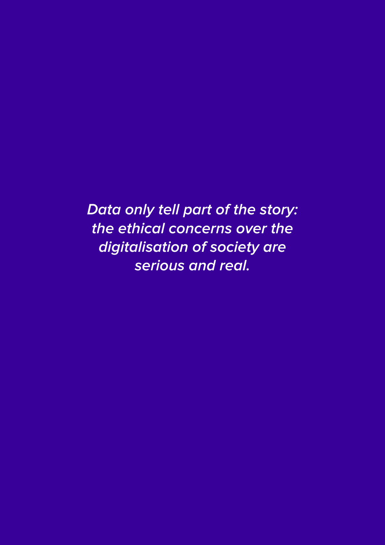**Data only tell part of the story: the ethical concerns over the digitalisation of society are serious and real.**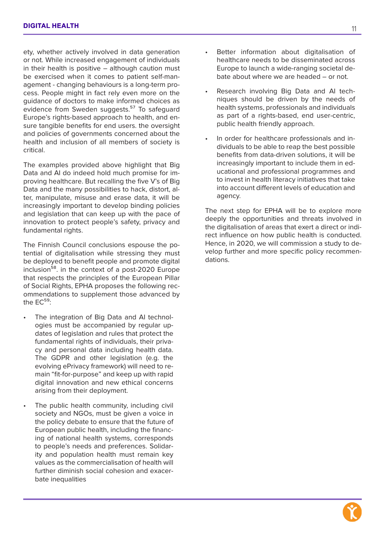ety, whether actively involved in data generation or not. While increased engagement of individuals in their health is positive – although caution must be exercised when it comes to patient self-management - changing behaviours is a long-term process. People might in fact rely even more on the guidance of doctors to make informed choices as evidence from Sweden suggests.<sup>57</sup> To safeguard Europe's rights-based approach to health, and ensure tangible benefits for end users. the oversight and policies of governments concerned about the health and inclusion of all members of society is critical.

The examples provided above highlight that Big Data and AI do indeed hold much promise for improving healthcare. But recalling the five V's of Big Data and the many possibilities to hack, distort, alter, manipulate, misuse and erase data, it will be increasingly important to develop binding policies and legislation that can keep up with the pace of innovation to protect people's safety, privacy and fundamental rights.

The Finnish Council conclusions espouse the potential of digitalisation while stressing they must be deployed to benefit people and promote digital inclusion<sup>58</sup>, in the context of a post-2020 Europe that respects the principles of the European Pillar of Social Rights, EPHA proposes the following recommendations to supplement those advanced by the  $FC<sup>59</sup>$ 

- The integration of Big Data and AI technologies must be accompanied by regular updates of legislation and rules that protect the fundamental rights of individuals, their privacy and personal data including health data. The GDPR and other legislation (e.g. the evolving ePrivacy framework) will need to remain "fit-for-purpose" and keep up with rapid digital innovation and new ethical concerns arising from their deployment.
- The public health community, including civil society and NGOs, must be given a voice in the policy debate to ensure that the future of European public health, including the financing of national health systems, corresponds to people's needs and preferences. Solidarity and population health must remain key values as the commercialisation of health will further diminish social cohesion and exacerbate inequalities
- Better information about digitalisation of healthcare needs to be disseminated across Europe to launch a wide-ranging societal debate about where we are headed – or not.
- Research involving Big Data and AI techniques should be driven by the needs of health systems, professionals and individuals as part of a rights-based, end user-centric, public health friendly approach.
- In order for healthcare professionals and individuals to be able to reap the best possible benefits from data-driven solutions, it will be increasingly important to include them in educational and professional programmes and to invest in health literacy initiatives that take into account different levels of education and agency.

The next step for EPHA will be to explore more deeply the opportunities and threats involved in the digitalisation of areas that exert a direct or indirect influence on how public health is conducted. Hence, in 2020, we will commission a study to develop further and more specific policy recommendations.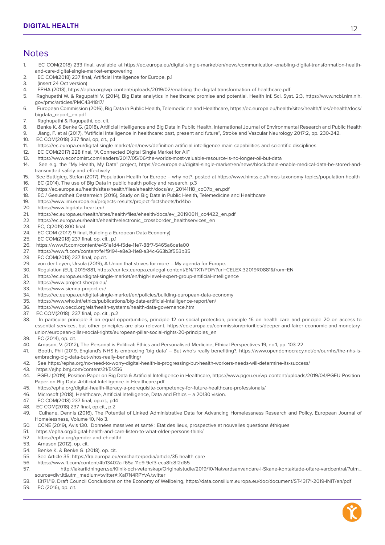#### **Notes**

- 1. EC COM(2018) 233 final, available at https://ec.europa.eu/digital-single-market/en/news/communication-enabling-digital-transformation-healthand-care-digital-single-market-empowering
- 2. EC COM(2018) 237 final, Artificial Intelligence for Europe, p.1
- 3. (insert 24 Oct version)
- 4. EPHA (2018), https://epha.org/wp-content/uploads/2019/02/enabling-the-digital-transformation-of-healthcare.pdf
- 5. Raghupathi W. & Ragupathi V. (2014), Big Data analytics in healthcare: promise and potential. Health Inf. Sci. Syst. 2:3, https://www.ncbi.nlm.nih. gov/pmc/articles/PMC4341817/
- 6. European Commission (2016), Big Data in Public Health, Telemedicine and Healthcare, https://ec.europa.eu/health/sites/health/files/ehealth/docs/ bigdata\_report\_en.pdf
- 7. Raghupathi & Ragupathi, op. cit.
- 8. Benke K. & Benke G. (2018), Artificial Intelligence and Big Data in Public Health, International Journal of Environmental Research and Public Health
- 9. Jiang, F. et al (2017), "Artificial Intelligence in healthcare: past, present and future", Stroke and Vascular Neurology 2017:2, pp. 230-242.
- 10. EC COM(2018) 237 final, op, cit., p.1
- 11. https://ec.europa.eu/digital-single-market/en/news/definition-artificial-intelligence-main-capabilities-and-scientific-disciplines
- 12. EC COM(2017) 228 final, "A Connected Digital Single Market for All"<br>13. https://www.economist.com/leaders/2017/05/06/the-worlds-most-va
- 13. https://www.economist.com/leaders/2017/05/06/the-worlds-most-valuable-resource-is-no-longer-oil-but-data
- 14. See e.g. the "My Health, My Data" project, https://ec.europa.eu/digital-single-market/en/news/blockchain-enable-medical-data-be-stored-andtransmitted-safely-and-effectively
- 15. See Buttigieg, Stefan (2017), Population Health for Europe why not?, posted at https://www.himss.eu/himss-taxonomy-topics/population-health 16. EC (2014), The use of Big Data in public health policy and research, p.3
- 17. https://ec.europa.eu/health/sites/health/files/ehealth/docs/ev\_20141118\_co07b\_en.pdf
- 18. EC / Gesundheit Oesterreich (2016), Study on Big Data in Public Health, Telemedicine and Healthcare
- 19. https://www.imi.europa.eu/projects-results/project-factsheets/bd4bo
- 20. https://www.bigdata-heart.eu/
- 21. https://ec.europa.eu/health/sites/health/files/ehealth/docs/ev\_20190611\_co4422\_en.pdf
- 22. https://ec.europa.eu/health/ehealth/electronic\_crossborder\_healthservices\_en
- 23. EC, C(2019) 800 final
- 24. EC COM (2017) 9 final, Building a European Data Economy)
- 25. EC COM(2018) 237 final, op. cit., p.1
- 26. https://www.ft.com/content/e451e1d4-f5de-11e7-88f7-5465a6ce1a00
- 27. https://www.ft.com/content/fe1f9194-e8e3-11e8-a34c-663b3f553b35
- 28. EC COM(2018) 237 final, op.cit.
- 29. von der Leyen, Ursula (2019), A Union that strives for more My agenda for Europe.
- 30. Regulation (EU), 2019/881, https://eur-lex.europa.eu/legal-content/EN/TXT/PDF/?uri=CELEX:32019R0881&from=EN
- 31. https://ec.europa.eu/digital-single-market/en/high-level-expert-group-artificial-intelligence
- 32. https://www.project-sherpa.eu/
- 33. https://www.sienna-project.eu/
- 34. https://ec.europa.eu/digital-single-market/en/policies/building-european-data-economy
- 35. https://www.who.int/ethics/publications/big-data-artificial-intelligence-report/en/
- 36. https://www.oecd.org/els/health-systems/health-data-governance.htm
- 37. EC COM(2018) 237 final, op. cit., p.2
- 38. In particular principle 3 on equal opportunities, principle 12 on social protection, principle 16 on health care and principle 20 on access to essential services, but other principles are also relevant. https://ec.europa.eu/commission/priorities/deeper-and-fairer-economic-and-monetaryunion/european-pillar-social-rights/european-pillar-social-rights-20-principles\_en
- 39. EC (2014), op. cit.
- 40. Arnason, V. (2012), The Personal is Political: Ethics and Personalised Medicine, Ethical Perspectives 19, no.1, pp. 103-22.
- 41. Booth, Phil (2019, England's NHS is embracing 'big data' But who's really benefiting?, https://www.opendemocracy.net/en/ournhs/the-nhs-isembracing-big-data-but-whos-really-benefiting/
- 42. See https://epha.org/no-need-to-worry-digital-health-is-progressing-but-health-workers-needs-will-determine-its-success/
- 43. https://ejhp.bmj.com/content/21/5/256
- 44. PGEU (2019), Position Paper on Big Data & Artificial Intelligence in Healthcare, https://www.pgeu.eu/wp-content/uploads/2019/04/PGEU-Position-Paper-on-Big-Data-Artificial-Intelligence-in-Healthcare.pdf
- 45. https://epha.org/digital-health-literacy-a-prerequisite-competency-for-future-healthcare-professionals/
- 46. Microsoft (2018), Healthcare, Artificial Intelligence, Data and Ethics a 20130 vision.
- 47. EC COM(2018) 237 final, op.cit., p.14
- 48. EC COM(2018) 237 final, op.cit., p.2
- 49. Culhane, Dennis (2016), The Potential of Linked Administrative Data for Advancing Homelessness Research and Policy, European Journal of Homelessness, Volume 10, No 3.
- 50. CCNE (2019), Avis 130. Données massives et santé : Etat des lieux, prospective et nouvelles questions éthiques
- 51. https://epha.org/digital-health-and-care-listen-to-what-older-persons-think/
- 52. https://epha.org/gender-and-ehealth/
- 53. Arnason (2012), op. cit.
- 54. Benke K. & Benke G. (2018), op. cit.
- 55. See Article 35: https://fra.europa.eu/en/charterpedia/article/35-health-care
- 56. https://www.ft.com/content/4b13402a-f65a-11e9-9ef3-eca8fc8f2d65
- 57. http://lakartidningen.se/Klinik-och-vetenskap/Originalstudie/2019/10/Natvardsanvandare-i-Skane-kontaktade-oftare-vardcentral/?utm\_ source=dlvr.it&utm\_medium=twitter#.Xal7N4RPYvA.twitter
- 58. 13171/19, Draft Council Conclusions on the Economy of Wellbeing, https://data.consilium.europa.eu/doc/document/ST-13171-2019-INIT/en/pdf
- 59. EC (2016), op. cit.